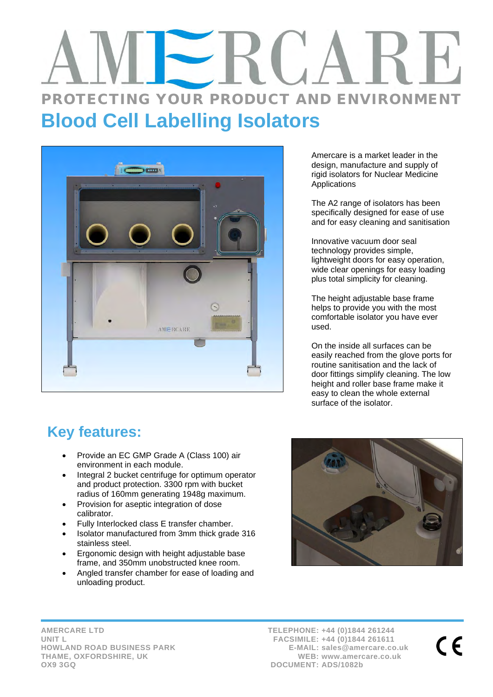# PROTECTING YOUR PRODUCT AND ENVIRONMENT **Blood Cell Labelling Isolators**



Amercare is a market leader in the design, manufacture and supply of rigid isolators for Nuclear Medicine Applications

The A2 range of isolators has been specifically designed for ease of use and for easy cleaning and sanitisation

Innovative vacuum door seal technology provides simple, lightweight doors for easy operation, wide clear openings for easy loading plus total simplicity for cleaning.

The height adjustable base frame helps to provide you with the most comfortable isolator you have ever used.

On the inside all surfaces can be easily reached from the glove ports for routine sanitisation and the lack of door fittings simplify cleaning. The low height and roller base frame make it easy to clean the whole external surface of the isolator.

## **Key features:**

- Provide an EC GMP Grade A (Class 100) air environment in each module.
- Integral 2 bucket centrifuge for optimum operator and product protection. 3300 rpm with bucket radius of 160mm generating 1948g maximum.
- Provision for aseptic integration of dose calibrator.
- Fully Interlocked class E transfer chamber.
- Isolator manufactured from 3mm thick grade 316 stainless steel.
- Ergonomic design with height adjustable base frame, and 350mm unobstructed knee room.
- Angled transfer chamber for ease of loading and unloading product.



**AMERCARE LTD UNIT L HOWLAND ROAD BUSINESS PARK THAME, OXFORDSHIRE, UK OX9 3GQ**

**TELEPHONE: +44 (0)1844 261244 FACSIMILE: +44 (0)1844 261611 E-MAIL: sales@amercare.co.uk WEB: www.amercare.co.uk DOCUMENT: ADS/1082b**